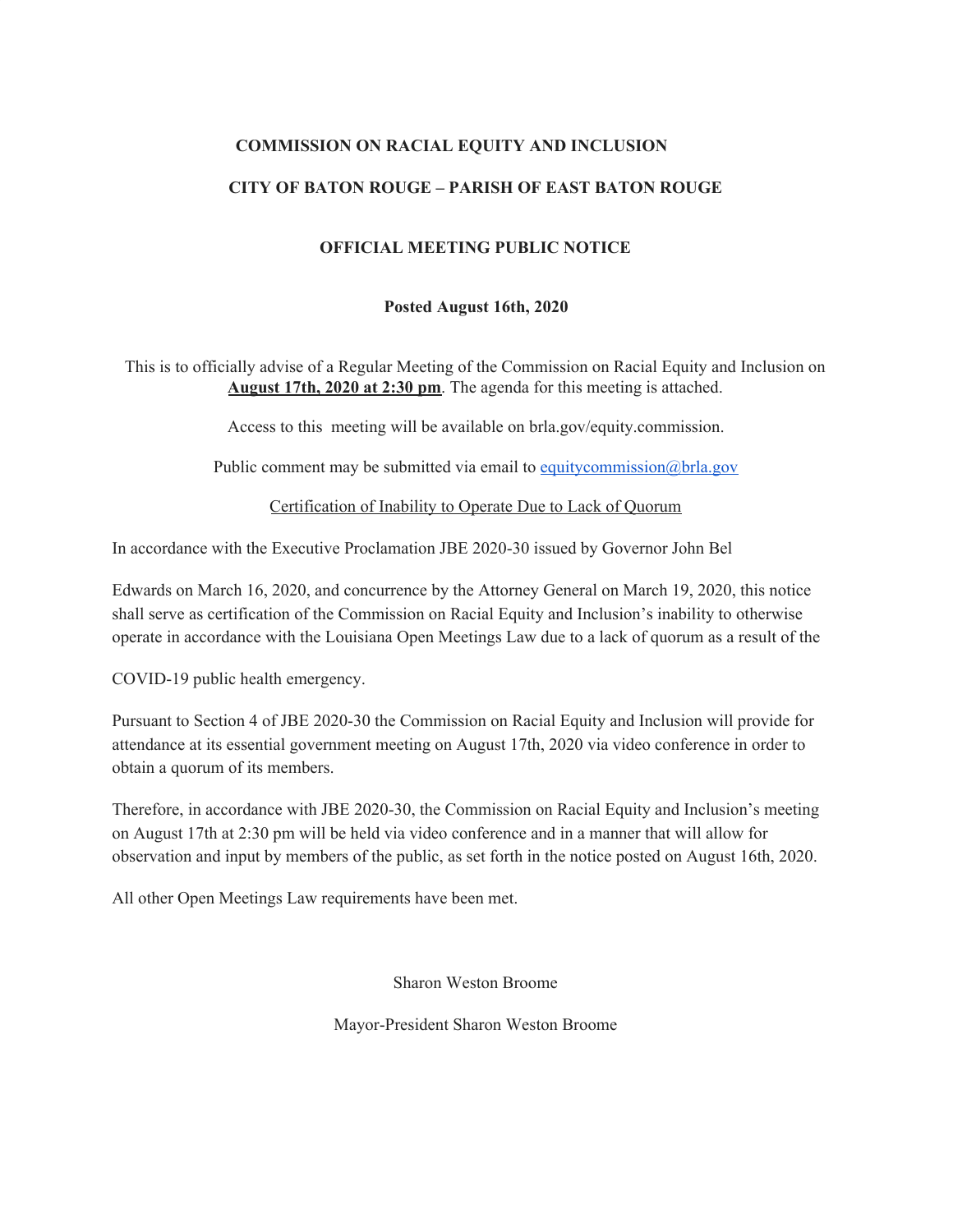## **COMMISSION ON RACIAL EQUITY AND INCLUSION**

### **CITY OF BATON ROUGE – PARISH OF EAST BATON ROUGE**

### **OFFICIAL MEETING PUBLIC NOTICE**

#### **Posted August 16th, 2020**

This is to officially advise of a Regular Meeting of the Commission on Racial Equity and Inclusion on **August 17th, 2020 at 2:30 pm**. The agenda for this meeting is attached.

Access to this meeting will be available on brla.gov/equity.commission.

Public comment may be submitted via email to [equitycommission@brla.gov](mailto:equitycommission@brla.gov)

Certification of Inability to Operate Due to Lack of Quorum

In accordance with the Executive Proclamation JBE 2020-30 issued by Governor John Bel

Edwards on March 16, 2020, and concurrence by the Attorney General on March 19, 2020, this notice shall serve as certification of the Commission on Racial Equity and Inclusion's inability to otherwise operate in accordance with the Louisiana Open Meetings Law due to a lack of quorum as a result of the

COVID-19 public health emergency.

Pursuant to Section 4 of JBE 2020-30 the Commission on Racial Equity and Inclusion will provide for attendance at its essential government meeting on August 17th, 2020 via video conference in order to obtain a quorum of its members.

Therefore, in accordance with JBE 2020-30, the Commission on Racial Equity and Inclusion's meeting on August 17th at 2:30 pm will be held via video conference and in a manner that will allow for observation and input by members of the public, as set forth in the notice posted on August 16th, 2020.

All other Open Meetings Law requirements have been met.

Sharon Weston Broome

Mayor-President Sharon Weston Broome